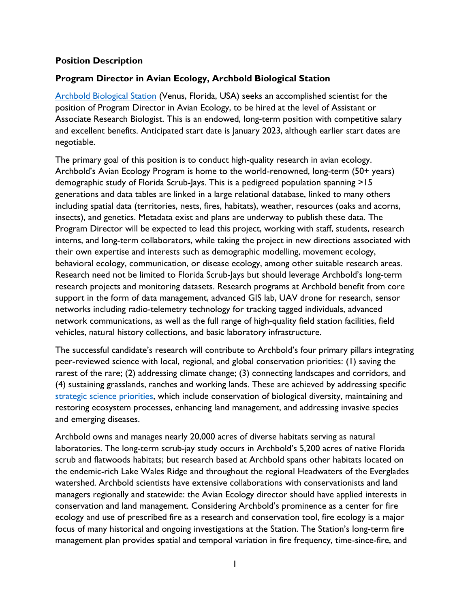### **Position Description**

# **Program Director in Avian Ecology, Archbold Biological Station**

[Archbold Biological Station](http://www.archbold-station.org/) (Venus, Florida, USA) seeks an accomplished scientist for the position of Program Director in Avian Ecology, to be hired at the level of Assistant or Associate Research Biologist. This is an endowed, long-term position with competitive salary and excellent benefits. Anticipated start date is January 2023, although earlier start dates are negotiable.

The primary goal of this position is to conduct high-quality research in avian ecology. Archbold's Avian Ecology Program is home to the world-renowned, long-term (50+ years) demographic study of Florida Scrub-Jays. This is a pedigreed population spanning >15 generations and data tables are linked in a large relational database, linked to many others including spatial data (territories, nests, fires, habitats), weather, resources (oaks and acorns, insects), and genetics. Metadata exist and plans are underway to publish these data. The Program Director will be expected to lead this project, working with staff, students, research interns, and long-term collaborators, while taking the project in new directions associated with their own expertise and interests such as demographic modelling, movement ecology, behavioral ecology, communication, or disease ecology, among other suitable research areas. Research need not be limited to Florida Scrub-Jays but should leverage Archbold's long-term research projects and monitoring datasets. Research programs at Archbold benefit from core support in the form of data management, advanced GIS lab, UAV drone for research, sensor networks including radio-telemetry technology for tracking tagged individuals, advanced network communications, as well as the full range of high-quality field station facilities, field vehicles, natural history collections, and basic laboratory infrastructure.

The successful candidate's research will contribute to Archbold's four primary pillars integrating peer-reviewed science with local, regional, and global conservation priorities: (1) saving the rarest of the rare; (2) addressing climate change; (3) connecting landscapes and corridors, and (4) sustaining grasslands, ranches and working lands. These are achieved by addressing specific [strategic science priorities,](https://www.archbold-station.org/html/aboutus/ourpr.html) which include conservation of biological diversity, maintaining and restoring ecosystem processes, enhancing land management, and addressing invasive species and emerging diseases.

Archbold owns and manages nearly 20,000 acres of diverse habitats serving as natural laboratories. The long-term scrub-jay study occurs in Archbold's 5,200 acres of native Florida scrub and flatwoods habitats; but research based at Archbold spans other habitats located on the endemic-rich Lake Wales Ridge and throughout the regional Headwaters of the Everglades watershed. Archbold scientists have extensive collaborations with conservationists and land managers regionally and statewide: the Avian Ecology director should have applied interests in conservation and land management. Considering Archbold's prominence as a center for fire ecology and use of prescribed fire as a research and conservation tool, fire ecology is a major focus of many historical and ongoing investigations at the Station. The Station's long-term fire management plan provides spatial and temporal variation in fire frequency, time-since-fire, and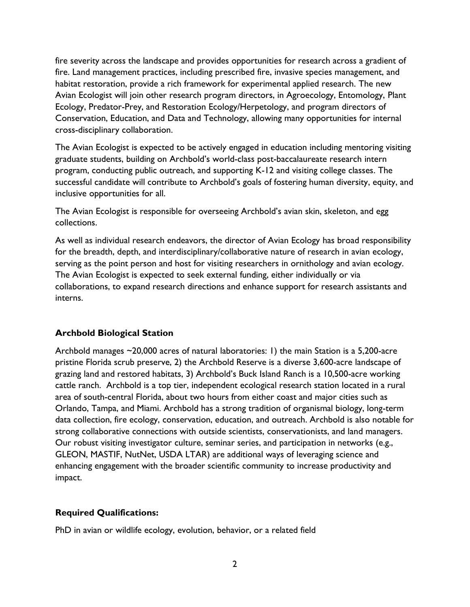fire severity across the landscape and provides opportunities for research across a gradient of fire. Land management practices, including prescribed fire, invasive species management, and habitat restoration, provide a rich framework for experimental applied research. The new Avian Ecologist will join other research program directors, in Agroecology, Entomology, Plant Ecology, Predator-Prey, and Restoration Ecology/Herpetology, and program directors of Conservation, Education, and Data and Technology, allowing many opportunities for internal cross-disciplinary collaboration.

The Avian Ecologist is expected to be actively engaged in education including mentoring visiting graduate students, building on Archbold's world-class post-baccalaureate research intern program, conducting public outreach, and supporting K-12 and visiting college classes. The successful candidate will contribute to Archbold's goals of fostering human diversity, equity, and inclusive opportunities for all.

The Avian Ecologist is responsible for overseeing Archbold's avian skin, skeleton, and egg collections.

As well as individual research endeavors, the director of Avian Ecology has broad responsibility for the breadth, depth, and interdisciplinary/collaborative nature of research in avian ecology, serving as the point person and host for visiting researchers in ornithology and avian ecology. The Avian Ecologist is expected to seek external funding, either individually or via collaborations, to expand research directions and enhance support for research assistants and interns.

## **Archbold Biological Station**

Archbold manages ~20,000 acres of natural laboratories: 1) the main Station is a 5,200-acre pristine Florida scrub preserve, 2) the Archbold Reserve is a diverse 3,600-acre landscape of grazing land and restored habitats, 3) Archbold's Buck Island Ranch is a 10,500-acre working cattle ranch. Archbold is a top tier, independent ecological research station located in a rural area of south-central Florida, about two hours from either coast and major cities such as Orlando, Tampa, and Miami. Archbold has a strong tradition of organismal biology, long-term data collection, fire ecology, conservation, education, and outreach. Archbold is also notable for strong collaborative connections with outside scientists, conservationists, and land managers. Our robust visiting investigator culture, seminar series, and participation in networks (e.g., GLEON, MASTIF, NutNet, USDA LTAR) are additional ways of leveraging science and enhancing engagement with the broader scientific community to increase productivity and impact.

#### **Required Qualifications:**

PhD in avian or wildlife ecology, evolution, behavior, or a related field